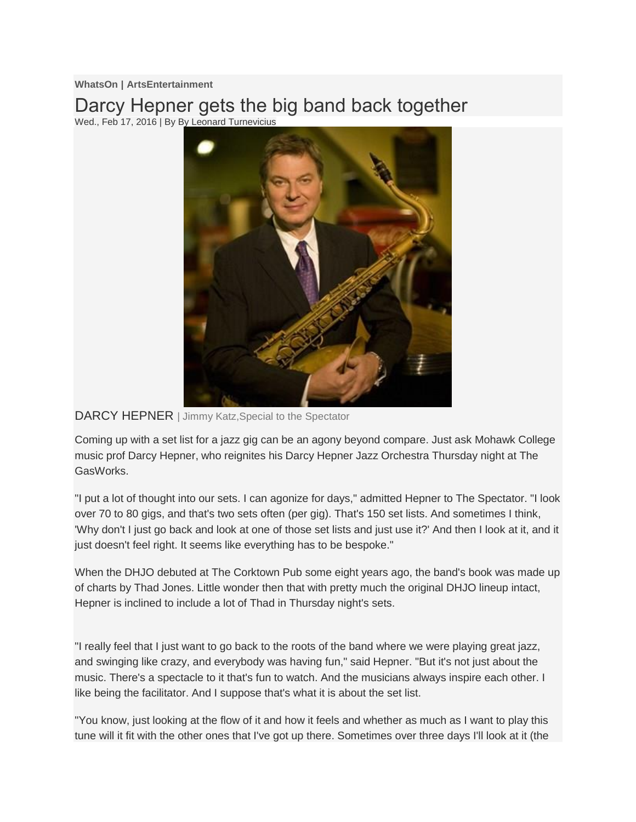**WhatsOn | ArtsEntertainment**

Darcy Hepner gets the big band back together Wed., Feb 17, 2016 | By By Leonard Turnevicius



## DARCY HEPNER | Jimmy Katz, Special to the Spectator

Coming up with a set list for a jazz gig can be an agony beyond compare. Just ask Mohawk College music prof Darcy Hepner, who reignites his Darcy Hepner Jazz Orchestra Thursday night at The GasWorks.

"I put a lot of thought into our sets. I can agonize for days," admitted Hepner to The Spectator. "I look over 70 to 80 gigs, and that's two sets often (per gig). That's 150 set lists. And sometimes I think, 'Why don't I just go back and look at one of those set lists and just use it?' And then I look at it, and it just doesn't feel right. It seems like everything has to be bespoke."

When the DHJO debuted at The Corktown Pub some eight years ago, the band's book was made up of charts by Thad Jones. Little wonder then that with pretty much the original DHJO lineup intact, Hepner is inclined to include a lot of Thad in Thursday night's sets.

"I really feel that I just want to go back to the roots of the band where we were playing great jazz, and swinging like crazy, and everybody was having fun," said Hepner. "But it's not just about the music. There's a spectacle to it that's fun to watch. And the musicians always inspire each other. I like being the facilitator. And I suppose that's what it is about the set list.

"You know, just looking at the flow of it and how it feels and whether as much as I want to play this tune will it fit with the other ones that I've got up there. Sometimes over three days I'll look at it (the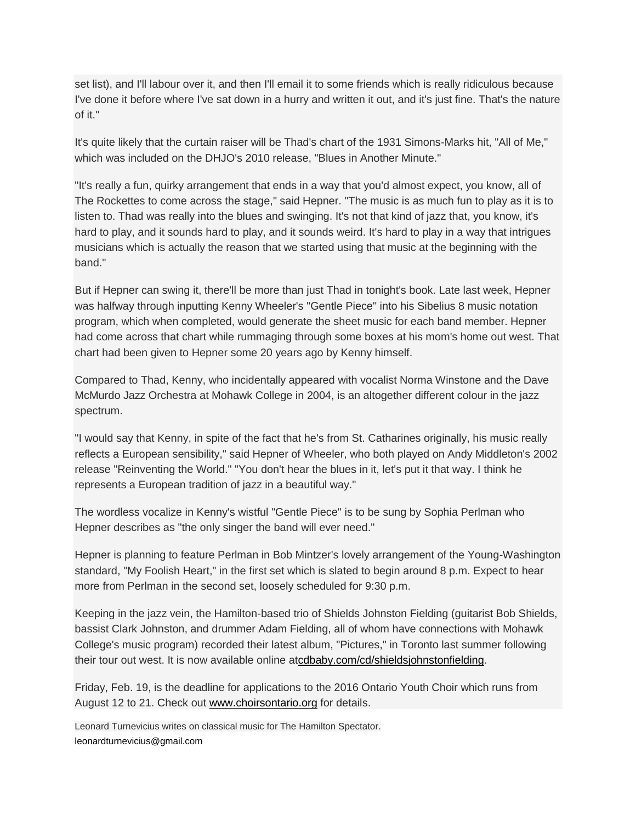set list), and I'll labour over it, and then I'll email it to some friends which is really ridiculous because I've done it before where I've sat down in a hurry and written it out, and it's just fine. That's the nature of it."

It's quite likely that the curtain raiser will be Thad's chart of the 1931 Simons-Marks hit, "All of Me," which was included on the DHJO's 2010 release, "Blues in Another Minute."

"It's really a fun, quirky arrangement that ends in a way that you'd almost expect, you know, all of The Rockettes to come across the stage," said Hepner. "The music is as much fun to play as it is to listen to. Thad was really into the blues and swinging. It's not that kind of jazz that, you know, it's hard to play, and it sounds hard to play, and it sounds weird. It's hard to play in a way that intrigues musicians which is actually the reason that we started using that music at the beginning with the band."

But if Hepner can swing it, there'll be more than just Thad in tonight's book. Late last week, Hepner was halfway through inputting Kenny Wheeler's "Gentle Piece" into his Sibelius 8 music notation program, which when completed, would generate the sheet music for each band member. Hepner had come across that chart while rummaging through some boxes at his mom's home out west. That chart had been given to Hepner some 20 years ago by Kenny himself.

Compared to Thad, Kenny, who incidentally appeared with vocalist Norma Winstone and the Dave McMurdo Jazz Orchestra at Mohawk College in 2004, is an altogether different colour in the jazz spectrum.

"I would say that Kenny, in spite of the fact that he's from St. Catharines originally, his music really reflects a European sensibility," said Hepner of Wheeler, who both played on Andy Middleton's 2002 release "Reinventing the World." "You don't hear the blues in it, let's put it that way. I think he represents a European tradition of jazz in a beautiful way."

The wordless vocalize in Kenny's wistful "Gentle Piece" is to be sung by Sophia Perlman who Hepner describes as "the only singer the band will ever need."

Hepner is planning to feature Perlman in Bob Mintzer's lovely arrangement of the Young-Washington standard, "My Foolish Heart," in the first set which is slated to begin around 8 p.m. Expect to hear more from Perlman in the second set, loosely scheduled for 9:30 p.m.

Keeping in the jazz vein, the Hamilton-based trio of Shields Johnston Fielding (guitarist Bob Shields, bassist Clark Johnston, and drummer Adam Fielding, all of whom have connections with Mohawk College's music program) recorded their latest album, "Pictures," in Toronto last summer following their tour out west. It is now available online a[tcdbaby.com/cd/shieldsjohnstonfielding.](http://m.thespec.com/www.cdbaby.com/cd/shieldsjohnstonfielding)

Friday, Feb. 19, is the deadline for applications to the 2016 Ontario Youth Choir which runs from August 12 to 21. Check out [www.choirsontario.org](http://www.choirsontario.org/) for details.

Leonard Turnevicius writes on classical music for The Hamilton Spectator. [leonardturnevicius@gmail.com](mailto:leonardturnevicius@gmail.com)